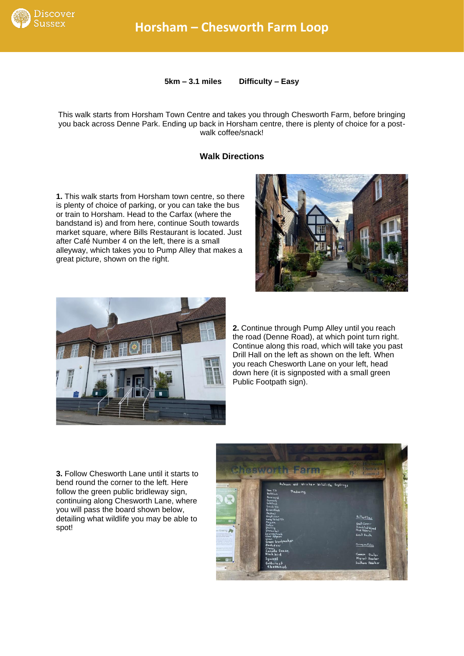

**5km – 3.1 miles Difficulty – Easy**

This walk starts from Horsham Town Centre and takes you through Chesworth Farm, before bringing you back across Denne Park. Ending up back in Horsham centre, there is plenty of choice for a postwalk coffee/snack!

## **Walk Directions**

**1.** This walk starts from Horsham town centre, so there is plenty of choice of parking, or you can take the bus or train to Horsham. Head to the Carfax (where the bandstand is) and from here, continue South towards market square, where Bills Restaurant is located. Just after Café Number 4 on the left, there is a small alleyway, which takes you to Pump Alley that makes a great picture, shown on the right.





**2.** Continue through Pump Alley until you reach the road (Denne Road), at which point turn right. Continue along this road, which will take you past Drill Hall on the left as shown on the left. When you reach Chesworth Lane on your left, head down here (it is signposted with a small green Public Footpath sign).

**3.** Follow Chesworth Lane until it starts to bend round the corner to the left. Here follow the green public bridleway sign, continuing along Chesworth Lane, where you will pass the board shown below, detailing what wildlife you may be able to spot!

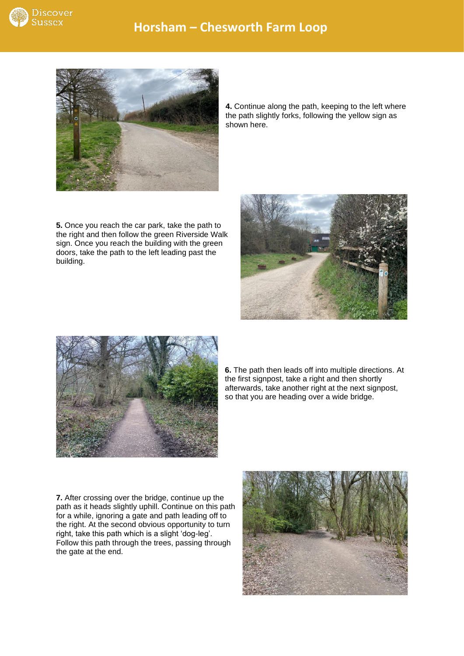



**4.** Continue along the path, keeping to the left where the path slightly forks, following the yellow sign as shown here.

**5.** Once you reach the car park, take the path to the right and then follow the green Riverside Walk sign. Once you reach the building with the green doors, take the path to the left leading past the building.





**6.** The path then leads off into multiple directions. At the first signpost, take a right and then shortly afterwards, take another right at the next signpost, so that you are heading over a wide bridge.

**7.** After crossing over the bridge, continue up the path as it heads slightly uphill. Continue on this path for a while, ignoring a gate and path leading off to the right. At the second obvious opportunity to turn right, take this path which is a slight 'dog-leg'. Follow this path through the trees, passing through the gate at the end.